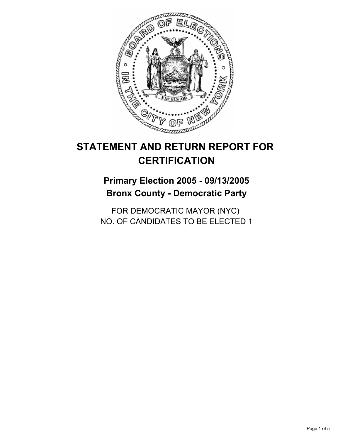

## **Primary Election 2005 - 09/13/2005 Bronx County - Democratic Party**

FOR DEMOCRATIC MAYOR (NYC) NO. OF CANDIDATES TO BE ELECTED 1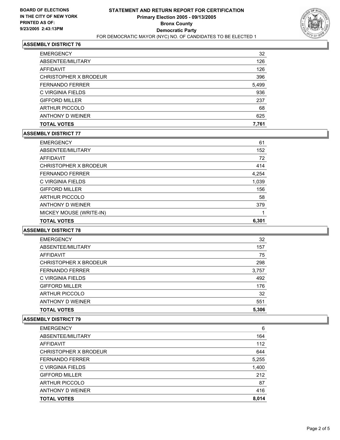

| ANTHONY D WEINER<br><b>TOTAL VOTES</b> | 625<br>7,761 |
|----------------------------------------|--------------|
|                                        |              |
| <b>ARTHUR PICCOLO</b>                  | 68           |
| <b>GIFFORD MILLER</b>                  | 237          |
| C VIRGINIA FIELDS                      | 936          |
| <b>FERNANDO FERRER</b>                 | 5,499        |
| CHRISTOPHER X BRODEUR                  | 396          |
| AFFIDAVIT                              | 126          |
| ABSENTEE/MILITARY                      | 126          |
| <b>EMERGENCY</b>                       | 32           |

### **ASSEMBLY DISTRICT 77**

| <b>EMERGENCY</b>        | 61    |
|-------------------------|-------|
| ABSENTEE/MILITARY       | 152   |
| AFFIDAVIT               | 72    |
| CHRISTOPHER X BRODEUR   | 414   |
| <b>FERNANDO FERRER</b>  | 4,254 |
| C VIRGINIA FIELDS       | 1,039 |
| <b>GIFFORD MILLER</b>   | 156   |
| <b>ARTHUR PICCOLO</b>   | 58    |
| ANTHONY D WEINER        | 379   |
| MICKEY MOUSE (WRITE-IN) |       |
| <b>TOTAL VOTES</b>      | 6,301 |

#### **ASSEMBLY DISTRICT 78**

| <b>EMERGENCY</b>       | 32    |
|------------------------|-------|
| ABSENTEE/MILITARY      | 157   |
| AFFIDAVIT              | 75    |
| CHRISTOPHER X BRODEUR  | 298   |
| <b>FERNANDO FERRER</b> | 3,757 |
| C VIRGINIA FIELDS      | 492   |
| <b>GIFFORD MILLER</b>  | 176   |
| <b>ARTHUR PICCOLO</b>  | 32    |
| ANTHONY D WEINER       | 551   |
| <b>TOTAL VOTES</b>     | 5,306 |

| <b>EMERGENCY</b>       | 6     |
|------------------------|-------|
| ABSENTEE/MILITARY      | 164   |
| AFFIDAVIT              | 112   |
| CHRISTOPHER X BRODEUR  | 644   |
| <b>FERNANDO FERRER</b> | 5,255 |
| C VIRGINIA FIELDS      | 1,400 |
| <b>GIFFORD MILLER</b>  | 212   |
| <b>ARTHUR PICCOLO</b>  | 87    |
| ANTHONY D WEINER       | 416   |
| <b>TOTAL VOTES</b>     | 8,014 |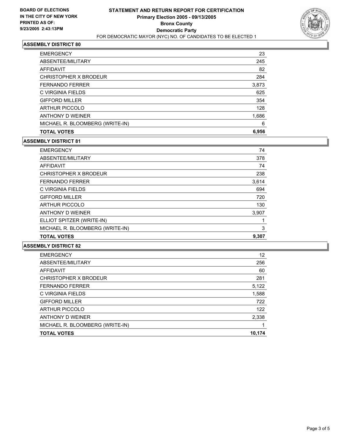

| <b>EMERGENCY</b>                | 23  |
|---------------------------------|-----|
| ABSENTEE/MILITARY               | 245 |
| AFFIDAVIT                       | 82  |
| CHRISTOPHER X BRODEUR           | 284 |
| <b>FERNANDO FERRER</b><br>3,873 |     |
| C VIRGINIA FIELDS               | 625 |
| <b>GIFFORD MILLER</b>           | 354 |
| <b>ARTHUR PICCOLO</b>           | 128 |
| ANTHONY D WEINER<br>1,686       |     |
| MICHAEL R. BLOOMBERG (WRITE-IN) | 6   |
| 6,956<br><b>TOTAL VOTES</b>     |     |

#### **ASSEMBLY DISTRICT 81**

| <b>EMERGENCY</b>                | 74    |
|---------------------------------|-------|
| ABSENTEE/MILITARY               | 378   |
| AFFIDAVIT                       | 74    |
| CHRISTOPHER X BRODEUR           | 238   |
| <b>FERNANDO FERRER</b>          | 3,614 |
| C VIRGINIA FIELDS               | 694   |
| <b>GIFFORD MILLER</b>           | 720   |
| <b>ARTHUR PICCOLO</b>           | 130   |
| ANTHONY D WEINER                | 3,907 |
| ELLIOT SPITZER (WRITE-IN)       |       |
| MICHAEL R. BLOOMBERG (WRITE-IN) | 3     |
| <b>TOTAL VOTES</b>              | 9,307 |

| 12     |
|--------|
| 256    |
| 60     |
| 281    |
| 5,122  |
| 1,588  |
| 722    |
| 122    |
| 2,338  |
|        |
| 10,174 |
|        |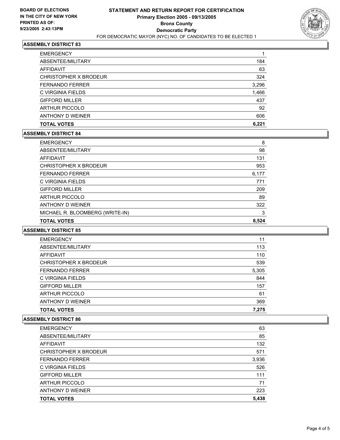

| <b>TOTAL VOTES</b>     | 6,221 |
|------------------------|-------|
| ANTHONY D WEINER       | 606   |
| <b>ARTHUR PICCOLO</b>  | 92    |
| <b>GIFFORD MILLER</b>  | 437   |
| C VIRGINIA FIELDS      | 1,466 |
| <b>FERNANDO FERRER</b> | 3,296 |
| CHRISTOPHER X BRODEUR  | 324   |
| AFFIDAVIT              | 63    |
| ABSENTEE/MILITARY      | 184   |
| <b>EMERGENCY</b>       |       |

### **ASSEMBLY DISTRICT 84**

| <b>EMERGENCY</b>                | 8     |
|---------------------------------|-------|
| ABSENTEE/MILITARY               | 98    |
| AFFIDAVIT                       | 131   |
| CHRISTOPHER X BRODEUR           | 953   |
| <b>FERNANDO FERRER</b>          | 6,177 |
| C VIRGINIA FIELDS               | 771   |
| <b>GIFFORD MILLER</b>           | 209   |
| <b>ARTHUR PICCOLO</b>           | 89    |
| ANTHONY D WEINER                | 322   |
| MICHAEL R. BLOOMBERG (WRITE-IN) | 3     |
| <b>TOTAL VOTES</b>              | 8,524 |

#### **ASSEMBLY DISTRICT 85**

| <b>TOTAL VOTES</b>     | 7,275 |
|------------------------|-------|
| ANTHONY D WEINER       | 369   |
| <b>ARTHUR PICCOLO</b>  | 61    |
| <b>GIFFORD MILLER</b>  | 157   |
| C VIRGINIA FIELDS      | 844   |
| <b>FERNANDO FERRER</b> | 5,305 |
| CHRISTOPHER X BRODEUR  | 539   |
| AFFIDAVIT              | 110   |
| ABSENTEE/MILITARY      | 113   |
| <b>EMERGENCY</b>       | 11    |

| <b>EMERGENCY</b>       | 63    |
|------------------------|-------|
| ABSENTEE/MILITARY      | 85    |
| AFFIDAVIT              | 132   |
| CHRISTOPHER X BRODEUR  | 571   |
| <b>FERNANDO FERRER</b> | 3,936 |
| C VIRGINIA FIELDS      | 526   |
| <b>GIFFORD MILLER</b>  | 111   |
| <b>ARTHUR PICCOLO</b>  | 71    |
| ANTHONY D WEINER       | 223   |
| <b>TOTAL VOTES</b>     | 5,438 |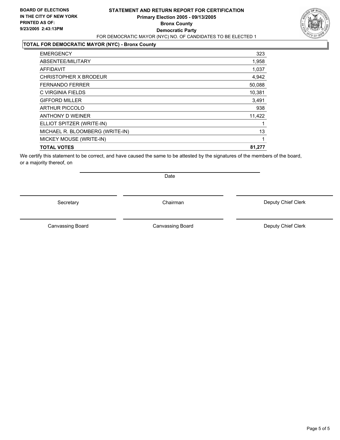### **STATEMENT AND RETURN REPORT FOR CERTIFICATION Primary Election 2005 - 09/13/2005 Bronx County Democratic Party** FOR DEMOCRATIC MAYOR (NYC) NO. OF CANDIDATES TO BE ELECTED 1

### **TOTAL FOR DEMOCRATIC MAYOR (NYC) - Bronx County**

| <b>EMERGENCY</b>                | 323    |
|---------------------------------|--------|
| ABSENTEE/MILITARY               | 1,958  |
| <b>AFFIDAVIT</b>                | 1,037  |
| CHRISTOPHER X BRODEUR           | 4,942  |
| <b>FERNANDO FERRER</b>          | 50,088 |
| C VIRGINIA FIELDS               | 10,381 |
| <b>GIFFORD MILLER</b>           | 3,491  |
| <b>ARTHUR PICCOLO</b>           | 938    |
| ANTHONY D WEINER                | 11,422 |
| ELLIOT SPITZER (WRITE-IN)       |        |
| MICHAEL R. BLOOMBERG (WRITE-IN) | 13     |
| MICKEY MOUSE (WRITE-IN)         |        |
| <b>TOTAL VOTES</b>              | 81,277 |
|                                 |        |

We certify this statement to be correct, and have caused the same to be attested by the signatures of the members of the board, or a majority thereof, on

Secretary **Chairman** 

Date

Deputy Chief Clerk

Canvassing Board **Canvassing Board** Canvassing Board **Deputy Chief Clerk** 

Canvassing Board

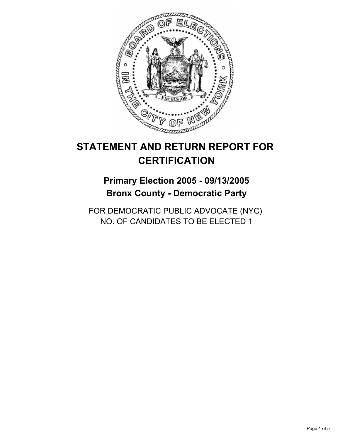

## **Primary Election 2005 - 09/13/2005 Bronx County - Democratic Party**

FOR DEMOCRATIC PUBLIC ADVOCATE (NYC) NO. OF CANDIDATES TO BE ELECTED 1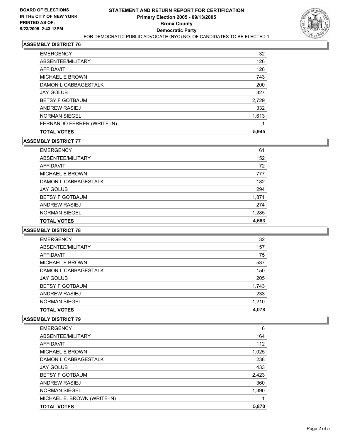

| <b>EMERGENCY</b>           | 32    |
|----------------------------|-------|
| ABSENTEE/MILITARY          | 126   |
| AFFIDAVIT                  | 126   |
| <b>MICHAEL E BROWN</b>     | 743   |
| DAMON L CABBAGESTALK       | 200   |
| <b>JAY GOLUB</b>           | 327   |
| <b>BETSY F GOTBAUM</b>     | 2,729 |
| ANDREW RASIEJ              | 332   |
| <b>NORMAN SIEGEL</b>       | 1,613 |
| FERNANDO FERRER (WRITE-IN) |       |
| <b>TOTAL VOTES</b>         | 5,945 |

#### **ASSEMBLY DISTRICT 77**

| <b>EMERGENCY</b>       | 61    |
|------------------------|-------|
| ABSENTEE/MILITARY      | 152   |
| AFFIDAVIT              | 72    |
| <b>MICHAEL E BROWN</b> | 777   |
| DAMON L CABBAGESTALK   | 182   |
| <b>JAY GOLUB</b>       | 294   |
| <b>BETSY F GOTBAUM</b> | 1,871 |
| ANDREW RASIEJ          | 274   |
| <b>NORMAN SIEGEL</b>   | 1,285 |
| <b>TOTAL VOTES</b>     | 4,683 |

#### **ASSEMBLY DISTRICT 78**

| <b>EMERGENCY</b>       | 32    |
|------------------------|-------|
| ABSENTEE/MILITARY      | 157   |
| AFFIDAVIT              | 75    |
| <b>MICHAEL E BROWN</b> | 537   |
| DAMON L CABBAGESTALK   | 150   |
| <b>JAY GOLUB</b>       | 205   |
| <b>BETSY F GOTBAUM</b> | 1,743 |
| ANDREW RASIEJ          | 233   |
| <b>NORMAN SIEGEL</b>   | 1,210 |
| <b>TOTAL VOTES</b>     | 4,078 |

| <b>EMERGENCY</b>            | 6     |
|-----------------------------|-------|
| ABSENTEE/MILITARY           | 164   |
| AFFIDAVIT                   | 112   |
| <b>MICHAEL E BROWN</b>      | 1,025 |
| DAMON L CABBAGESTALK        | 238   |
| <b>JAY GOLUB</b>            | 433   |
| <b>BETSY F GOTBAUM</b>      | 2,423 |
| ANDREW RASIEJ               | 360   |
| <b>NORMAN SIEGEL</b>        | 1,390 |
| MICHAEL E. BROWN (WRITE-IN) |       |
| <b>TOTAL VOTES</b>          | 5,870 |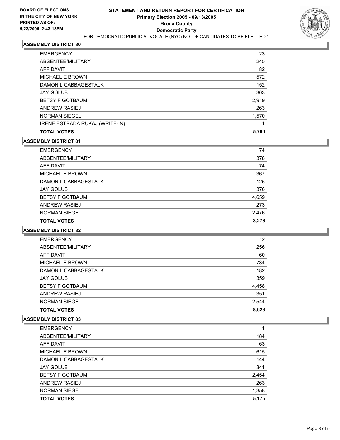

| 23    |
|-------|
| 245   |
| 82    |
| 572   |
| 152   |
| 303   |
| 2,919 |
| 263   |
| 1,570 |
|       |
| 5,780 |
|       |

#### **ASSEMBLY DISTRICT 81**

| <b>EMERGENCY</b>       | 74    |
|------------------------|-------|
| ABSENTEE/MILITARY      | 378   |
| AFFIDAVIT              | 74    |
| <b>MICHAEL E BROWN</b> | 367   |
| DAMON L CABBAGESTALK   | 125   |
| <b>JAY GOLUB</b>       | 376   |
| <b>BETSY F GOTBAUM</b> | 4,659 |
| ANDREW RASIEJ          | 273   |
| <b>NORMAN SIEGEL</b>   | 2,476 |
| <b>TOTAL VOTES</b>     | 8,276 |

#### **ASSEMBLY DISTRICT 82**

| <b>TOTAL VOTES</b>     | 8,628 |
|------------------------|-------|
| <b>NORMAN SIEGEL</b>   | 2,544 |
| <b>ANDREW RASIEJ</b>   | 351   |
| <b>BETSY F GOTBAUM</b> | 4,458 |
| <b>JAY GOLUB</b>       | 359   |
| DAMON L CABBAGESTALK   | 182   |
| <b>MICHAEL E BROWN</b> | 734   |
| AFFIDAVIT              | 60    |
| ABSENTEE/MILITARY      | 256   |
| <b>EMERGENCY</b>       | 12    |

| <b>EMERGENCY</b>       |       |
|------------------------|-------|
| ABSENTEE/MILITARY      | 184   |
| AFFIDAVIT              | 63    |
| <b>MICHAEL E BROWN</b> | 615   |
| DAMON L CABBAGESTALK   | 144   |
| <b>JAY GOLUB</b>       | 341   |
| <b>BETSY F GOTBAUM</b> | 2,454 |
| ANDREW RASIEJ          | 263   |
| <b>NORMAN SIEGEL</b>   | 1,358 |
| <b>TOTAL VOTES</b>     | 5,175 |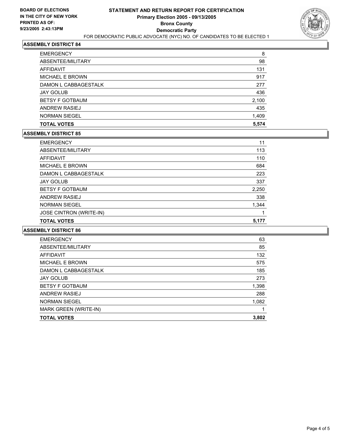

| <b>TOTAL VOTES</b>     | 5,574 |
|------------------------|-------|
| <b>NORMAN SIEGEL</b>   | 1,409 |
| <b>ANDREW RASIEJ</b>   | 435   |
| <b>BETSY F GOTBAUM</b> | 2,100 |
| <b>JAY GOLUB</b>       | 436   |
| DAMON L CABBAGESTALK   | 277   |
| <b>MICHAEL E BROWN</b> | 917   |
| <b>AFFIDAVIT</b>       | 131   |
| ABSENTEE/MILITARY      | 98    |
| <b>EMERGENCY</b>       | 8     |

#### **ASSEMBLY DISTRICT 85**

| <b>EMERGENCY</b>        | 11    |
|-------------------------|-------|
| ABSENTEE/MILITARY       | 113   |
| AFFIDAVIT               | 110   |
| MICHAEL E BROWN         | 684   |
| DAMON L CABBAGESTALK    | 223   |
| <b>JAY GOLUB</b>        | 337   |
| <b>BETSY F GOTBAUM</b>  | 2,250 |
| ANDREW RASIEJ           | 338   |
| <b>NORMAN SIEGEL</b>    | 1,344 |
| JOSE CINTRON (WRITE-IN) |       |
| <b>TOTAL VOTES</b>      | 5,177 |

| <b>EMERGENCY</b>       | 63    |
|------------------------|-------|
| ABSENTEE/MILITARY      | 85    |
| AFFIDAVIT              | 132   |
| MICHAEL E BROWN        | 575   |
| DAMON L CABBAGESTALK   | 185   |
| <b>JAY GOLUB</b>       | 273   |
| <b>BETSY F GOTBAUM</b> | 1,398 |
| <b>ANDREW RASIEJ</b>   | 288   |
| <b>NORMAN SIEGEL</b>   | 1,082 |
| MARK GREEN (WRITE-IN)  |       |
| <b>TOTAL VOTES</b>     | 3,802 |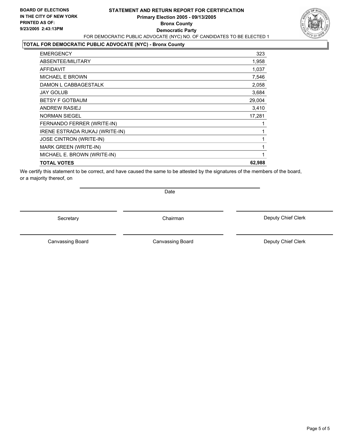### **STATEMENT AND RETURN REPORT FOR CERTIFICATION Primary Election 2005 - 09/13/2005 Bronx County Democratic Party** FOR DEMOCRATIC PUBLIC ADVOCATE (NYC) NO. OF CANDIDATES TO BE ELECTED 1



## **TOTAL FOR DEMOCRATIC PUBLIC ADVOCATE (NYC) - Bronx County**

| <b>EMERGENCY</b>               | 323    |
|--------------------------------|--------|
| ABSENTEE/MILITARY              | 1,958  |
| <b>AFFIDAVIT</b>               | 1,037  |
| <b>MICHAEL E BROWN</b>         | 7,546  |
| DAMON L CABBAGESTALK           | 2,058  |
| JAY GOLUB                      | 3,684  |
| <b>BETSY F GOTBAUM</b>         | 29,004 |
| ANDREW RASIEJ                  | 3,410  |
| <b>NORMAN SIEGEL</b>           | 17,281 |
| FERNANDO FERRER (WRITE-IN)     |        |
| IRENE ESTRADA RUKAJ (WRITE-IN) |        |
| JOSE CINTRON (WRITE-IN)        |        |
| <b>MARK GREEN (WRITE-IN)</b>   |        |
| MICHAEL E. BROWN (WRITE-IN)    |        |
| <b>TOTAL VOTES</b>             | 62,988 |
|                                |        |

We certify this statement to be correct, and have caused the same to be attested by the signatures of the members of the board, or a majority thereof, on

Date

Secretary Chairman

Canvassing Board

Deputy Chief Clerk

Canvassing Board **Canvassing Board** Canvassing Board **Deputy Chief Clerk**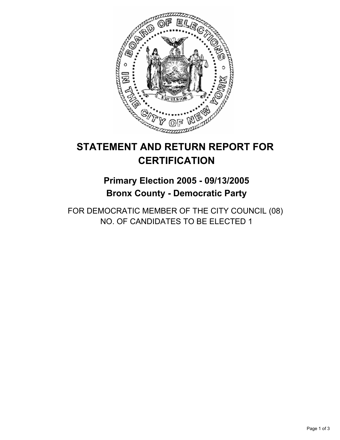

## **Primary Election 2005 - 09/13/2005 Bronx County - Democratic Party**

FOR DEMOCRATIC MEMBER OF THE CITY COUNCIL (08) NO. OF CANDIDATES TO BE ELECTED 1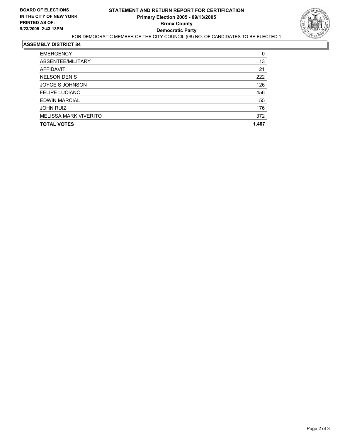

| <b>EMERGENCY</b>             | 0     |
|------------------------------|-------|
| ABSENTEE/MILITARY            | 13    |
| AFFIDAVIT                    | 21    |
| <b>NELSON DENIS</b>          | 222   |
| JOYCE S JOHNSON              | 126   |
| <b>FELIPE LUCIANO</b>        | 456   |
| <b>EDWIN MARCIAL</b>         | 55    |
| <b>JOHN RUIZ</b>             | 176   |
| <b>MELISSA MARK VIVERITO</b> | 372   |
| <b>TOTAL VOTES</b>           | 1,407 |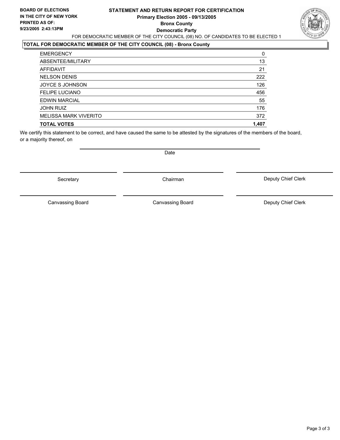#### **STATEMENT AND RETURN REPORT FOR CERTIFICATION Primary Election 2005 - 09/13/2005 Bronx County Democratic Party** FOR DEMOCRATIC MEMBER OF THE CITY COUNCIL (08) NO. OF CANDIDATES TO BE ELECTED 1



## **TOTAL FOR DEMOCRATIC MEMBER OF THE CITY COUNCIL (08) - Bronx County**

| <b>EMERGENCY</b>      | 0     |
|-----------------------|-------|
| ABSENTEE/MILITARY     | 13    |
| AFFIDAVIT             | 21    |
| <b>NELSON DENIS</b>   | 222   |
| JOYCE S JOHNSON       | 126   |
| <b>FELIPE LUCIANO</b> | 456   |
| <b>EDWIN MARCIAL</b>  | 55    |
| <b>JOHN RUIZ</b>      | 176   |
| MELISSA MARK VIVERITO | 372   |
| <b>TOTAL VOTES</b>    | 1,407 |

We certify this statement to be correct, and have caused the same to be attested by the signatures of the members of the board, or a majority thereof, on

Date

Secretary **Chairman** 

Canvassing Board

Canvassing Board **Canvassing Canvassing Board** Deputy Chief Clerk

Deputy Chief Clerk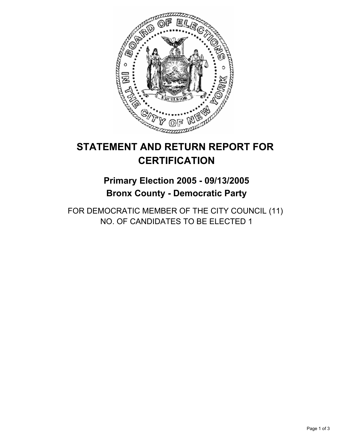

## **Primary Election 2005 - 09/13/2005 Bronx County - Democratic Party**

FOR DEMOCRATIC MEMBER OF THE CITY COUNCIL (11) NO. OF CANDIDATES TO BE ELECTED 1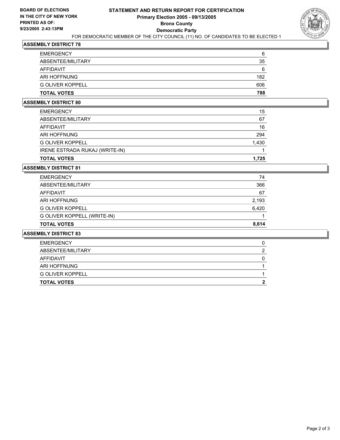

| <b>TOTAL VOTES</b>      | 788 |
|-------------------------|-----|
| <b>G OLIVER KOPPELL</b> | 606 |
| ARI HOFFNUNG            | 182 |
| AFFIDAVIT               | 6   |
| ABSENTEE/MILITARY       | 35  |
| <b>EMERGENCY</b>        | 6   |

#### **ASSEMBLY DISTRICT 80**

| <b>TOTAL VOTES</b>             | 1.725 |
|--------------------------------|-------|
| IRENE ESTRADA RUKAJ (WRITE-IN) |       |
| <b>G OLIVER KOPPELL</b>        | 1,430 |
| <b>ARI HOFFNUNG</b>            | 294   |
| AFFIDAVIT                      | 16    |
| ABSENTEE/MILITARY              | 67    |
| <b>EMERGENCY</b>               | 15    |

#### **ASSEMBLY DISTRICT 81**

| <b>TOTAL VOTES</b>          | 8.614 |
|-----------------------------|-------|
| G OLIVER KOPPELL (WRITE-IN) |       |
| <b>G OLIVER KOPPELL</b>     | 6,420 |
| ARI HOFFNUNG                | 2,193 |
| AFFIDAVIT                   | 67    |
| ABSENTEE/MILITARY           | 366   |
| <b>EMERGENCY</b>            | 74    |

| <b>TOTAL VOTES</b>      |  |
|-------------------------|--|
| <b>G OLIVER KOPPELL</b> |  |
| ARI HOFFNUNG            |  |
| AFFIDAVIT               |  |
| ABSENTEE/MILITARY       |  |
| <b>EMERGENCY</b>        |  |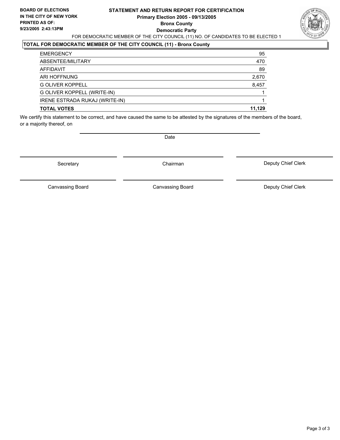### **STATEMENT AND RETURN REPORT FOR CERTIFICATION Primary Election 2005 - 09/13/2005 Bronx County Democratic Party** FOR DEMOCRATIC MEMBER OF THE CITY COUNCIL (11) NO. OF CANDIDATES TO BE ELECTED 1



## **TOTAL FOR DEMOCRATIC MEMBER OF THE CITY COUNCIL (11) - Bronx County**

| <b>EMERGENCY</b>               | 95     |
|--------------------------------|--------|
| ABSENTEE/MILITARY              | 470    |
| AFFIDAVIT                      | 89     |
| ARI HOFFNUNG                   | 2,670  |
| <b>G OLIVER KOPPELL</b>        | 8,457  |
| G OLIVER KOPPELL (WRITE-IN)    |        |
| IRENE ESTRADA RUKAJ (WRITE-IN) |        |
| <b>TOTAL VOTES</b>             | 11.129 |

We certify this statement to be correct, and have caused the same to be attested by the signatures of the members of the board, or a majority thereof, on

Secretary **Chairman** 

Date

Deputy Chief Clerk

Canvassing Board

Canvassing Board **Canvassing Board** Canvassing Board **Deputy Chief Clerk**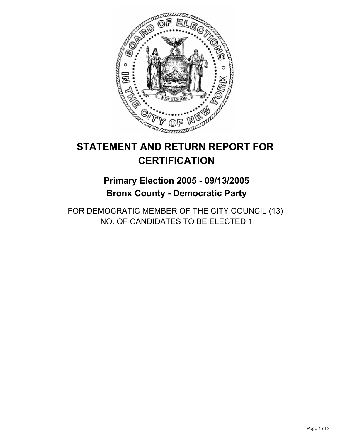

## **Primary Election 2005 - 09/13/2005 Bronx County - Democratic Party**

FOR DEMOCRATIC MEMBER OF THE CITY COUNCIL (13) NO. OF CANDIDATES TO BE ELECTED 1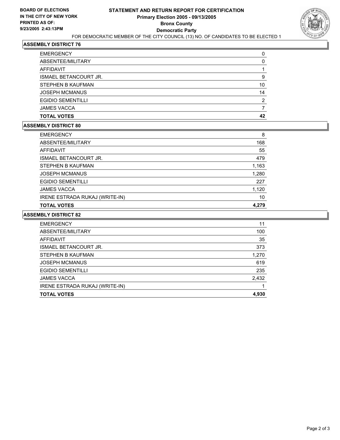

| <b>EMERGENCY</b>             |    |
|------------------------------|----|
| ABSENTEE/MILITARY            |    |
| AFFIDAVIT                    |    |
| <b>ISMAEL BETANCOURT JR.</b> |    |
| STEPHEN B KAUFMAN            | 10 |
| <b>JOSEPH MCMANUS</b>        | 14 |
| <b>EGIDIO SEMENTILLI</b>     |    |
| <b>JAMES VACCA</b>           |    |
| <b>TOTAL VOTES</b>           | 42 |

#### **ASSEMBLY DISTRICT 80**

| ABSENTEE/MILITARY<br>AFFIDAVIT<br><b>ISMAEL BETANCOURT JR.</b><br>STEPHEN B KAUFMAN<br><b>JOSEPH MCMANUS</b><br><b>EGIDIO SEMENTILLI</b><br><b>JAMES VACCA</b><br>IRENE ESTRADA RUKAJ (WRITE-IN) | <b>EMERGENCY</b>   | 8     |
|--------------------------------------------------------------------------------------------------------------------------------------------------------------------------------------------------|--------------------|-------|
|                                                                                                                                                                                                  |                    | 168   |
|                                                                                                                                                                                                  |                    | 55    |
|                                                                                                                                                                                                  |                    | 479   |
|                                                                                                                                                                                                  |                    | 1,163 |
|                                                                                                                                                                                                  |                    | 1,280 |
|                                                                                                                                                                                                  |                    | 227   |
|                                                                                                                                                                                                  |                    | 1,120 |
|                                                                                                                                                                                                  |                    | 10    |
|                                                                                                                                                                                                  | <b>TOTAL VOTES</b> | 4,279 |

| <b>EMERGENCY</b>               | 11    |
|--------------------------------|-------|
| ABSENTEE/MILITARY              | 100   |
| AFFIDAVIT                      | 35    |
| <b>ISMAEL BETANCOURT JR.</b>   | 373   |
| STEPHEN B KAUFMAN              | 1,270 |
| <b>JOSEPH MCMANUS</b>          | 619   |
| <b>EGIDIO SEMENTILLI</b>       | 235   |
| <b>JAMES VACCA</b>             | 2,432 |
| IRENE ESTRADA RUKAJ (WRITE-IN) |       |
| <b>TOTAL VOTES</b>             | 4,930 |
|                                |       |